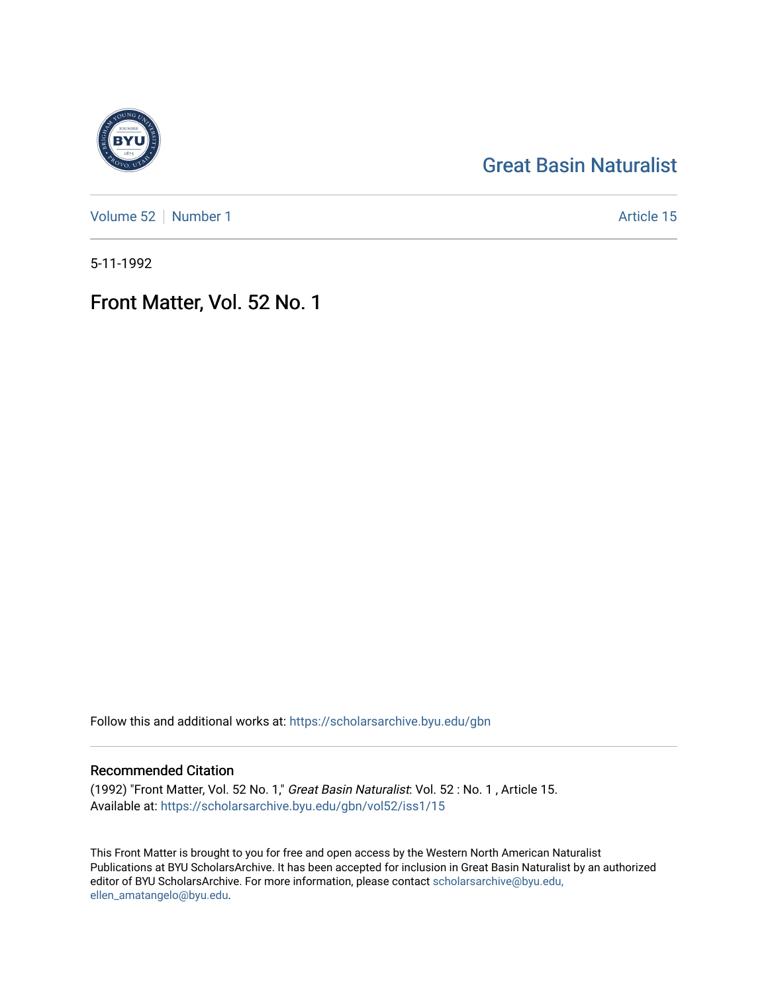# [Great Basin Naturalist](https://scholarsarchive.byu.edu/gbn)

[Volume 52](https://scholarsarchive.byu.edu/gbn/vol52) [Number 1](https://scholarsarchive.byu.edu/gbn/vol52/iss1) Article 15

5-11-1992

# Front Matter, Vol. 52 No. 1

Follow this and additional works at: [https://scholarsarchive.byu.edu/gbn](https://scholarsarchive.byu.edu/gbn?utm_source=scholarsarchive.byu.edu%2Fgbn%2Fvol52%2Fiss1%2F15&utm_medium=PDF&utm_campaign=PDFCoverPages) 

## Recommended Citation

(1992) "Front Matter, Vol. 52 No. 1," Great Basin Naturalist: Vol. 52 : No. 1 , Article 15. Available at: [https://scholarsarchive.byu.edu/gbn/vol52/iss1/15](https://scholarsarchive.byu.edu/gbn/vol52/iss1/15?utm_source=scholarsarchive.byu.edu%2Fgbn%2Fvol52%2Fiss1%2F15&utm_medium=PDF&utm_campaign=PDFCoverPages) 

This Front Matter is brought to you for free and open access by the Western North American Naturalist Publications at BYU ScholarsArchive. It has been accepted for inclusion in Great Basin Naturalist by an authorized editor of BYU ScholarsArchive. For more information, please contact [scholarsarchive@byu.edu,](mailto:scholarsarchive@byu.edu,%20ellen_amatangelo@byu.edu) [ellen\\_amatangelo@byu.edu](mailto:scholarsarchive@byu.edu,%20ellen_amatangelo@byu.edu).

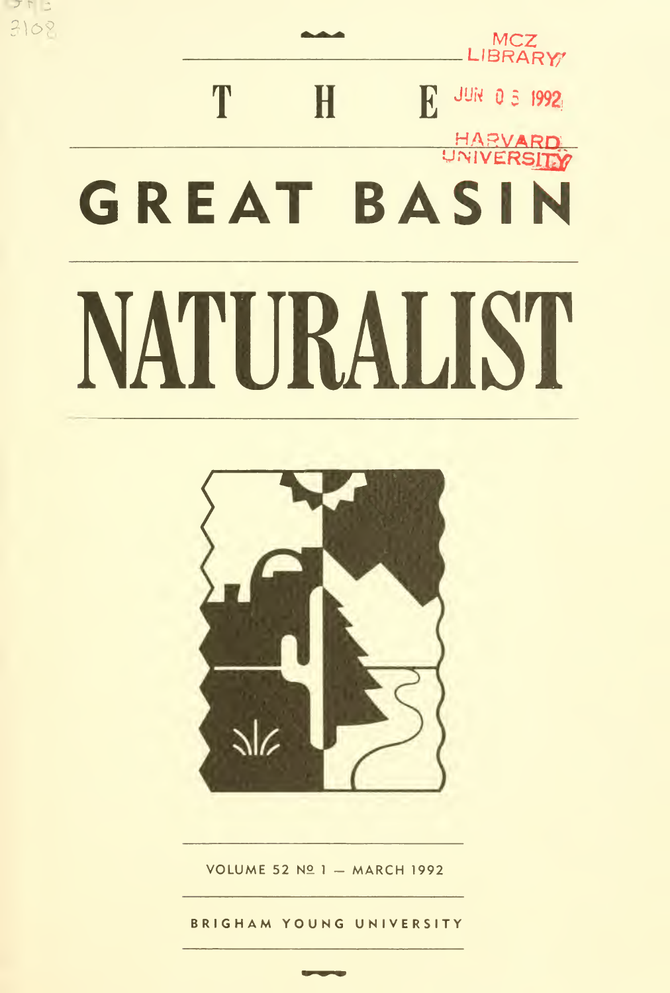# MCZ<br>C LIBRARY<sub>7</sub>  $\bf{T}$   $\bf{H}$   $\bf{E}$  and  $\bf{0}$  3 1993<sup>3</sup> HARVARD UNIVERSITY GREAT BASIN MURALIST

フトニ 3102



VOLUME 52 Nº 1 - MARCH 1992

BRIGHAM YOUNG UNIVERSITY